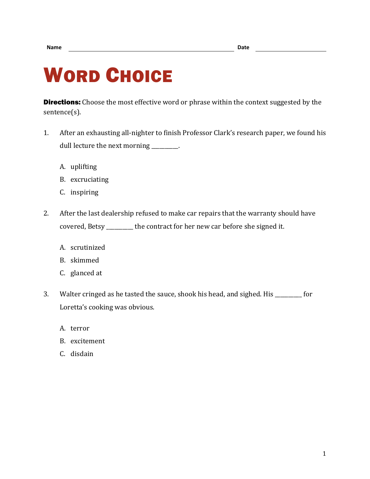## WORD CHOICE

**Directions:** Choose the most effective word or phrase within the context suggested by the sentence(s).

- 1. After an exhausting all-nighter to finish Professor Clark's research paper, we found his dull lecture the next morning \_\_\_\_\_\_\_\_.
	- A. uplifting
	- B. excruciating
	- C. inspiring
- 2. After the last dealership refused to make car repairs that the warranty should have covered, Betsy \_\_\_\_\_\_\_\_\_\_ the contract for her new car before she signed it.
	- A. scrutinized
	- B. skimmed
	- C. glanced at
- 3. Walter cringed as he tasted the sauce, shook his head, and sighed. His \_\_\_\_\_\_\_\_\_\_ for Loretta's cooking was obvious.
	- A. terror
	- B. excitement
	- C. disdain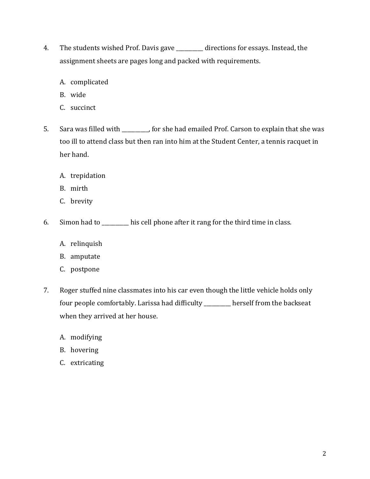- 4. The students wished Prof. Davis gave \_\_\_\_\_\_\_\_\_\_ directions for essays. Instead, the assignment sheets are pages long and packed with requirements.
	- A. complicated
	- B. wide
	- C. succinct
- 5. Sara was filled with \_\_\_\_\_\_\_, for she had emailed Prof. Carson to explain that she was too ill to attend class but then ran into him at the Student Center, a tennis racquet in her hand.
	- A. trepidation
	- B. mirth
	- C. brevity
- 6. Simon had to \_\_\_\_\_\_\_\_\_\_ his cell phone after it rang for the third time in class.
	- A. relinquish
	- B. amputate
	- C. postpone
- 7. Roger stuffed nine classmates into his car even though the little vehicle holds only four people comfortably. Larissa had difficulty \_\_\_\_\_\_\_\_\_\_ herself from the backseat when they arrived at her house.
	- A. modifying
	- B. hovering
	- C. extricating